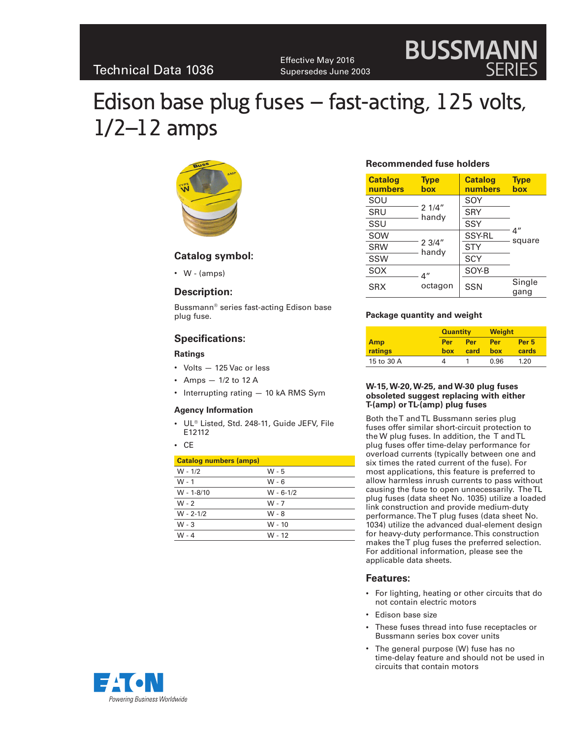Effective May 2016 Supersedes June 2003

# Edison base plug fuses – fast-acting, 125 volts, 1/2–12 amps



## **Catalog symbol:**

• W - (amps)

## **Description:**

Bussmann® series fast-acting Edison base plug fuse.

## **Specifications:**

#### **Ratings**

- • Volts 125 Vac or less
- Amps  $-1/2$  to 12 A
- Interrupting rating  $-10$  kA RMS Sym

#### **Agency Information**

- • UL® Listed, Std. 248-11, Guide JEFV, File E12112
- • CE

| <b>Catalog numbers (amps)</b> |               |
|-------------------------------|---------------|
| $W - 1/2$                     | W - 5         |
| $W - 1$                       | W - 6         |
| $W - 1 - 8/10$                | $W - 6 - 1/2$ |
| $W - 2$                       | W - 7         |
| $W - 2 - 1/2$                 | W - 8         |
| $W - 3$                       | W - 10        |
| $W - 4$                       | W - 12        |

## **Recommended fuse holders**

| <b>Catalog</b><br>numbers | <b>Type</b><br>box | <b>Catalog</b><br>numbers | <b>Type</b><br>box |  |
|---------------------------|--------------------|---------------------------|--------------------|--|
| SOU                       | 21/4"<br>handy     | SOY                       |                    |  |
| SRU                       |                    | <b>SRY</b>                | 4″<br>square       |  |
| SSU                       |                    | SSY                       |                    |  |
| SOW                       | 23/4"<br>handy     | <b>SSY-RL</b>             |                    |  |
| <b>SRW</b>                |                    | <b>STY</b>                |                    |  |
| SSW                       |                    | <b>SCY</b>                |                    |  |
| <b>SOX</b>                | 4″                 | SOY-B                     |                    |  |
| octagon<br><b>SRX</b>     | <b>SSN</b>         | Single<br>gang            |                    |  |

**BUSSMANN**

SERIES

#### **Package quantity and weight**

|            | <b>Quantity</b> |      | <b>Weight</b> |                  |
|------------|-----------------|------|---------------|------------------|
| Amp        | Per             | Per  | Per           | Per <sub>5</sub> |
| ratings    | box             | card | box           | cards            |
| 15 to 30 A |                 |      | 0.96          | 1.20             |

#### **W-15, W-20, W-25, and W-30 plug fuses obsoleted suggest replacing with either T-(amp) or TL-(amp) plug fuses**

Both the T and TL Bussmann series plug fuses offer similar short-circuit protection to the W plug fuses. In addition, the T and TL plug fuses offer time-delay performance for overload currents (typically between one and six times the rated current of the fuse). For most applications, this feature is preferred to allow harmless inrush currents to pass without causing the fuse to open unnecessarily. The TL plug fuses (data sheet No. 1035) utilize a loaded link construction and provide medium-duty performance. The T plug fuses (data sheet No. 1034) utilize the advanced dual-element design for heavy-duty performance. This construction makes the T plug fuses the preferred selection. For additional information, please see the applicable data sheets.

## **Features:**

- • For lighting, heating or other circuits that do not contain electric motors
- Edison base size
- These fuses thread into fuse receptacles or Bussmann series box cover units
- The general purpose (W) fuse has no time-delay feature and should not be used in circuits that contain motors